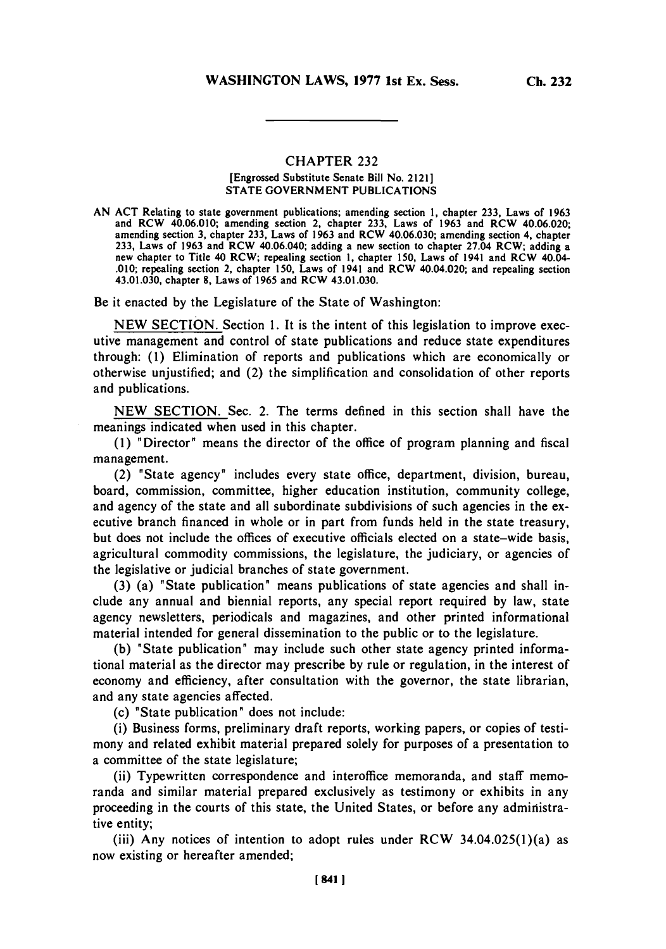## **CHAPTER 232**

## [Engrossed Substitute Senate Bill No. 2121] **STATE GOVERNMENT** PUBLICATIONS

**AN ACT** Relating to state government publications; amending section **1,** chapter **233,** Laws of **1963** and RCW 40.06.010; amending section 2, chapter **233,** Laws of **1963** and RCW 40.06.020; amending section **3,** chapter **233,** Laws of **1963** and RCW 40.06.030; amending section 4, chapter **233,** Laws of **1963** and RCW 40.06.040; adding a new section to chapter 27.04 RCW; adding a new chapter to Title 40 RCW; repealing section **1,** chapter **150,** Laws of 1941 and RCW 40.04- **.0 10;** repealing section 2, chapter **150,** Laws of 1941 and RCW 40.04.020; and repealing section 43.01.030, chapter **8,** Laws of **1965** and RCW 43.01.030.

Be it enacted **by** the Legislature of the State of Washington:

**NEW SECTION.** Section **1.** It is the intent of this legislation to improve executive management and control of state publications and reduce state expenditures through: **(1)** Elimination of reports and publications which are economically or otherwise unjustified; and (2) the simplification and consolidation of other reports and publications.

**NEW SECTION.** Sec. 2. The terms defined in this section shall have the meanings indicated when used in this chapter.

**(1)** "Director" means the director of the office of program planning and fiscal management.

(2) "State agency" includes every state office, department, division, bureau, board, commission, committee, higher education institution, community college, and agency of the state and all subordinate subdivisions of such agencies in the executive branch financed in whole or in part from funds held in the state treasury, but does not include the offices of executive officials elected on a state-wide basis, agricultural commodity commissions, the legislature, the judiciary, or agencies of the legislative or judicial branches of state government.

**(3)** (a) "State publication" means publications of state agencies and shall include any annual and biennial reports, any special report required **by** law, state agency newsletters, periodicals and magazines, and other printed informational material intended for general dissemination to the public or to the legislature.

**(b)** "State publication" may include such other state agency printed informational material as the director may prescribe **by** rule or regulation, in the interest of economy and efficiency, after consultation with the governor, the state librarian, and any state agencies affected.

(c) "State publication" does not include:

(i) Business forms, preliminary draft reports, working papers, or copies of testimony and related exhibit material prepared solely for purposes of a presentation to a committee of the state legislature;

(ii) Typewritten correspondence and interoffice memoranda, and staff memoranda and similar material prepared exclusively as testimony or exhibits in any proceeding in the courts of this state, the United States, or before any administrative entity;

(iii) Any notices of intention to adopt rules under RCW  $34.04.025(1)(a)$  as now existing or hereafter amended;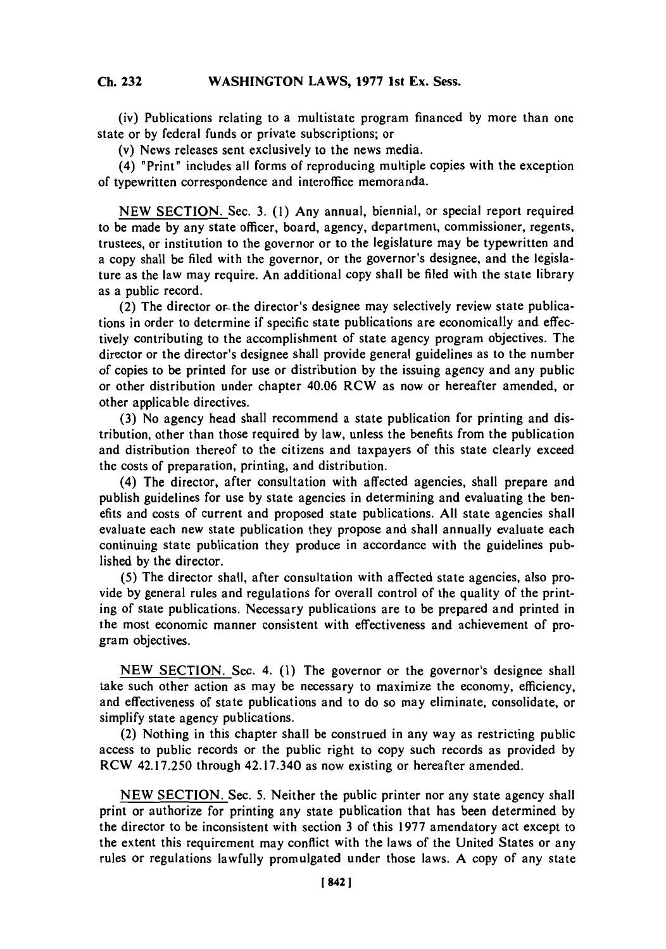## **Cb 232WASHINGTON LAWS, 1977 1st Ex. Sess. Ch. 232**

(iv) Publications relating to a multistate program financed **by** more than one state or **by** federal funds or private subscriptions; or

(v) News releases sent exclusively to the news media.

(4) "Print" includes all forms of reproducing multiple copies with the exception of typewritten correspondence and interoffice memoranda.

**NEW SECTION.** Sec. **3. (1)** Any annual, biennial, or special report required to be made **by** any state officer, board, agency, department, commissioner, regents, trustees, or institution to the governor or to the legislature may be typewritten and a copy shall be filed with the governor, or the governor's designee, and the legislature as the law may require. An additional copy shall be filed with the state library as a public record.

(2) The director or- the director's designee may selectively review state publications in order to determine if specific state publications are economically and effectively contributing to the accomplishment of state agency program objectives. The director or the director's designee shall provide general guidelines as to the number of copies to be printed for use or distribution **by** the issuing agency and any public or other distribution under chapter 40.06 RCW as now or hereafter amended, or other applicable directives.

**(3)** No agency head shall recommend a state publication for printing and distribution, other than those required **by** law, unless the benefits from the publication and distribution thereof to the citizens and taxpayers of this state clearly exceed the costs of preparation, printing, and distribution.

(4) The director, after consultation with affected agencies, shall prepare and publish guidelines for use **by** state agencies in determining and evaluating the benefits and costs of current and proposed state publications. **All** state agencies shall evaluate each new state publication they propose and shall annually evaluate each continuing state publication they produce in accordance with the guidelines published **by** the director.

**(5)** The director shall, after consultation with affected state agencies, also provide **by** general rules and regulations for overall control of the quality of the printing of state publications. Necessary publications are to be prepared and printed in the most economic manner consistent with effectiveness and achievement of program objectives.

**NEW SECTION.** Sec. 4. **(1)** The governor or the governor's designee shall take such other action as may be necessary to maximize the economy, efficiency, and effectiveness of state publications and to do so may eliminate, consolidate, or simplify state agency publications.

(2) Nothing in this chapter shall be construed in any way as restricting public access to public records or the public right to copy such records as provided **by** RCW 42.17.250 through 42.17.340 as now existing or hereafter amended.

**NEW SECTION.** Sec. **5.** Neither the public printer nor any state agency shall print or authorize for printing any state publication that has been determined **by** the director to be inconsistent with section **3** of this **1977** amendatory act except to the extent this requirement may conflict with the laws of the United States or any rules or regulations lawfully promulgated under those laws. **A** copy of any state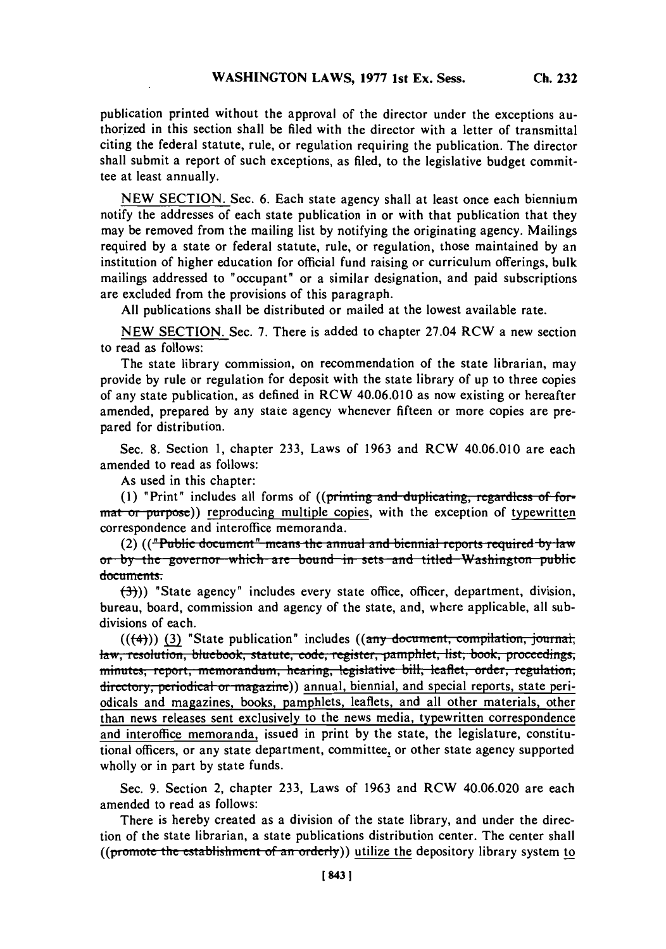publication printed without the approval of the director under the exceptions authorized in this section shall be filed with the director with a letter of transmittal citing the federal statute, rule, or regulation requiring the publication. The director shall submit a report of such exceptions, as filed, to the legislative budget committee at least annually.

**NEW SECTION.** Sec. **6.** Each state agency shall at least once each biennium notify the addresses of each state publication in or with that publication that they may be removed from the mailing list **by** notifying the originating agency. Mailings required **by** a state or federal statute, rule, or regulation, those maintained **by** an institution of higher education for official fund raising or curriculum offerings, bulk mailings addressed to "occupant" or a similar designation, and paid subscriptions are excluded from the provisions of this paragraph.

**All** publications shall be distributed or mailed at the lowest available rate.

**NEW SECTION.** Sec. **7.** There is added to chapter 27.04 RCW a new section to read as follows:

The state library commission, on recommendation of the state librarian, may provide **by** rule or regulation for deposit with the state library of up to three copies of any state publication, as defined in RCW 40.06.010 as now existing or hereafter amended, prepared **by** any state agency whenever fifteen or more copies are prepared for distribution.

Sec. **8.** Section **1,** chapter **233,** Laws of **1963** and RCW 40.06.010 are each amended to read as follows:

As used in this chapter:

(1) "Print" includes all forms of ((printing and duplicating, regardless of format or purpose)) reproducing multiple copies, with the exception of typewritten correspondence and interoffice memoranda.

(2) (("Public document" means the annual and biennial reports required by law or by the governor which are bound in sets and titled Washington public documents.

**ft~)** "State agency" includes every state office, officer, department, division, bureau, board, commission and agency of the state, and, where applicable, all subdivisions of each.

(((4)) (3) "State publication" includes ((any document, compilation, journal, law, resolution, bluebook, statute, code, register, pamphlet, list, book, proceedings, minutes, report, memorandum, hearing, legislative bill, leaflet, order, regulation; directory, periodical or magazine)) annual, biennial, and special reports, state periodicals and magazines, books, pamphlets, leaflets, and all other materials, other than news releases sent exclusively to the news media, typewritten correspondence and interoffice memoranda, issued in print **by** the state, the legislature, constitutional officers, or any state department, committee, or other state agency supported wholly or in part **by** state funds.

Sec. **9.** Section 2, chapter **233,** Laws of **1963** and RCW 40.06.020 are each amended to read as follows:

There is hereby created as a division of the state library, and under the direction of the state librarian, a state publications distribution center. The center shall (( $prmote$  the establishment of an orderly)) utilize the depository library system to